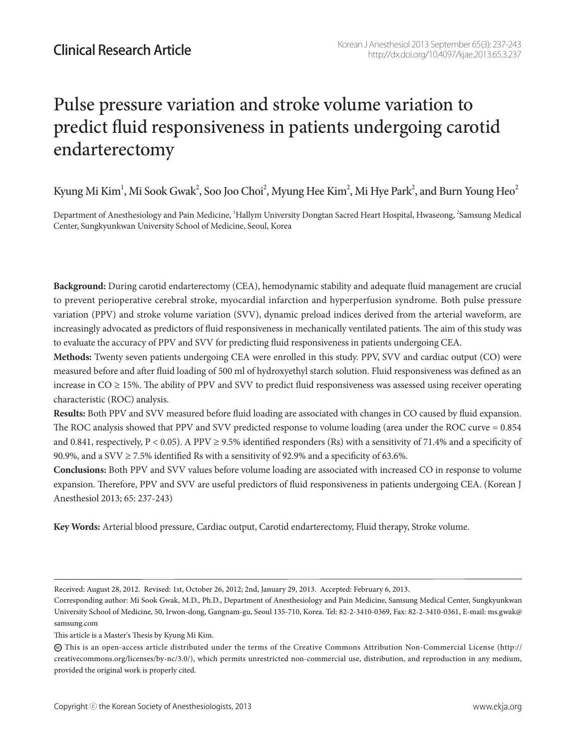# Pulse pressure variation and stroke volume variation to predict fluid responsiveness in patients undergoing carotid endarterectomy

Kyung Mi Kim $^{\rm l}$ , Mi Sook Gwak $^{\rm 2}$ , Soo Joo Choi $^{\rm 2}$ , Myung Hee Kim $^{\rm 2}$ , Mi Hye Park $^{\rm 2}$ , and Burn Young Heo $^{\rm 2}$ 

Department of Anesthesiology and Pain Medicine, <sup>1</sup>Hallym University Dongtan Sacred Heart Hospital, Hwaseong, <sup>2</sup>Samsung Medical Center, Sungkyunkwan University School of Medicine, Seoul, Korea

**Background:** During carotid endarterectomy (CEA), hemodynamic stability and adequate fluid management are crucial to prevent perioperative cerebral stroke, myocardial infarction and hyperperfusion syndrome. Both pulse pressure variation (PPV) and stroke volume variation (SVV), dynamic preload indices derived from the arterial waveform, are increasingly advocated as predictors of fluid responsiveness in mechanically ventilated patients. The aim of this study was to evaluate the accuracy of PPV and SVV for predicting fluid responsiveness in patients undergoing CEA.

**Methods:** Twenty seven patients undergoing CEA were enrolled in this study. PPV, SVV and cardiac output (CO) were measured before and after fluid loading of 500 ml of hydroxyethyl starch solution. Fluid responsiveness was defined as an increase in  $CO \geq 15\%$ . The ability of PPV and SVV to predict fluid responsiveness was assessed using receiver operating characteristic (ROC) analysis.

**Results:** Both PPV and SVV measured before fluid loading are associated with changes in CO caused by fluid expansion. The ROC analysis showed that PPV and SVV predicted response to volume loading (area under the ROC curve = 0.854 and 0.841, respectively, P < 0.05). A PPV  $\geq$  9.5% identified responders (Rs) with a sensitivity of 71.4% and a specificity of 90.9%, and a SVV ≥ 7.5% identified Rs with a sensitivity of 92.9% and a specificity of 63.6%.

**Conclusions:** Both PPV and SVV values before volume loading are associated with increased CO in response to volume expansion. Therefore, PPV and SVV are useful predictors of fluid responsiveness in patients undergoing CEA. (Korean J Anesthesiol 2013; 65: 237-243)

**Key Words:** Arterial blood pressure, Cardiac output, Carotid endarterectomy, Fluid therapy, Stroke volume.

Received: August 28, 2012. Revised: 1st, October 26, 2012; 2nd, January 29, 2013. Accepted: February 6, 2013.

Corresponding author: Mi Sook Gwak, M.D., Ph.D., Department of Anesthesiology and Pain Medicine, Samsung Medical Center, Sungkyunkwan University School of Medicine, 50, Irwon-dong, Gangnam-gu, Seoul 135-710, Korea. Tel: 82-2-3410-0369, Fax: 82-2-3410-0361, E-mail: ms.gwak@ samsung.com

This article is a Master's Thesis by Kyung Mi Kim.

 $\circledast$  This is an open-access article distributed under the terms of the Creative Commons Attribution Non-Commercial License (http:// creativecommons.org/licenses/by-nc/3.0/), which permits unrestricted non-commercial use, distribution, and reproduction in any medium, provided the original work is properly cited.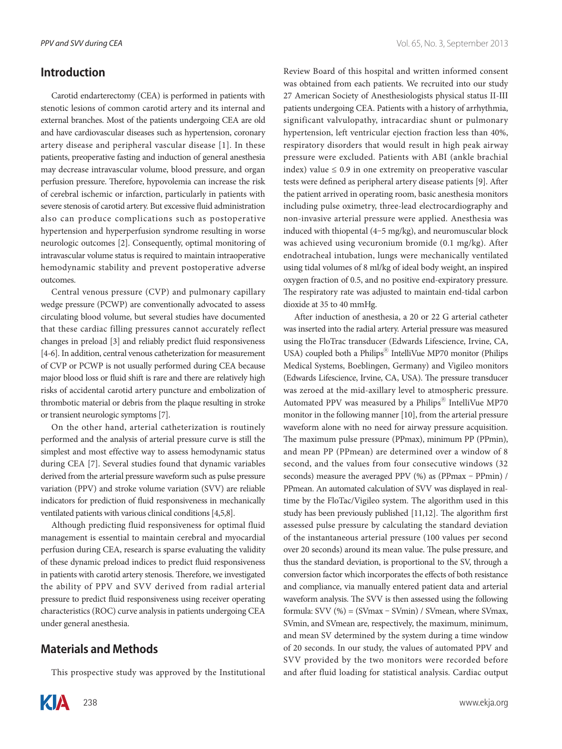### **Introduction**

Carotid endarterectomy (CEA) is performed in patients with stenotic lesions of common carotid artery and its internal and external branches. Most of the patients undergoing CEA are old and have cardiovascular diseases such as hypertension, coronary artery disease and peripheral vascular disease [1]. In these patients, preoperative fasting and induction of general anesthesia may decrease intravascular volume, blood pressure, and organ perfusion pressure. Therefore, hypovolemia can increase the risk of cerebral ischemic or infarction, particularly in patients with severe stenosis of carotid artery. But excessive fluid administration also can produce complications such as postoperative hypertension and hyperperfusion syndrome resulting in worse neurologic outcomes [2]. Consequently, optimal monitoring of intravascular volume status is required to maintain intraoperative hemodynamic stability and prevent postoperative adverse outcomes.

Central venous pressure (CVP) and pulmonary capillary wedge pressure (PCWP) are conventionally advocated to assess circulating blood volume, but several studies have documented that these cardiac filling pressures cannot accurately reflect changes in preload [3] and reliably predict fluid responsiveness [4-6]. In addition, central venous catheterization for measurement of CVP or PCWP is not usually performed during CEA because major blood loss or fluid shift is rare and there are relatively high risks of accidental carotid artery puncture and embolization of thrombotic material or debris from the plaque resulting in stroke or transient neurologic symptoms [7].

On the other hand, arterial catheterization is routinely performed and the analysis of arterial pressure curve is still the simplest and most effective way to assess hemodynamic status during CEA [7]. Several studies found that dynamic variables derived from the arterial pressure waveform such as pulse pressure variation (PPV) and stroke volume variation (SVV) are reliable indicators for prediction of fluid responsiveness in mechanically ventilated patients with various clinical conditions [4,5,8].

Although predicting fluid responsiveness for optimal fluid management is essential to maintain cerebral and myocardial perfusion during CEA, research is sparse evaluating the validity of these dynamic preload indices to predict fluid responsiveness in patients with carotid artery stenosis. Therefore, we investigated the ability of PPV and SVV derived from radial arterial pressure to predict fluid responsiveness using receiver operating characteristics (ROC) curve analysis in patients undergoing CEA under general anesthesia.

#### **Materials and Methods**

This prospective study was approved by the Institutional



Review Board of this hospital and written informed consent was obtained from each patients. We recruited into our study 27 American Society of Anesthesiologists physical status II-III patients undergoing CEA. Patients with a history of arrhythmia, significant valvulopathy, intracardiac shunt or pulmonary hypertension, left ventricular ejection fraction less than 40%, respiratory disorders that would result in high peak airway pressure were excluded. Patients with ABI (ankle brachial index) value  $\leq 0.9$  in one extremity on preoperative vascular tests were defined as peripheral artery disease patients [9]. After the patient arrived in operating room, basic anesthesia monitors including pulse oximetry, three-lead electrocardiography and non-invasive arterial pressure were applied. Anesthesia was induced with thiopental (4-5 mg/kg), and neuromuscular block was achieved using vecuronium bromide (0.1 mg/kg). After endotracheal intubation, lungs were mechanically ventilated using tidal volumes of 8 ml/kg of ideal body weight, an inspired oxygen fraction of 0.5, and no positive end-expiratory pressure. The respiratory rate was adjusted to maintain end-tidal carbon dioxide at 35 to 40 mmHg.

After induction of anesthesia, a 20 or 22 G arterial catheter was inserted into the radial artery. Arterial pressure was measured using the FloTrac transducer (Edwards Lifescience, Irvine, CA, USA) coupled both a Philips<sup>®</sup> IntelliVue MP70 monitor (Philips Medical Systems, Boeblingen, Germany) and Vigileo monitors (Edwards Lifescience, Irvine, CA, USA). The pressure transducer was zeroed at the mid-axillary level to atmospheric pressure. Automated PPV was measured by a Philips<sup>®</sup> IntelliVue MP70 monitor in the following manner [10], from the arterial pressure waveform alone with no need for airway pressure acquisition. The maximum pulse pressure (PPmax), minimum PP (PPmin), and mean PP (PPmean) are determined over a window of 8 second, and the values from four consecutive windows (32 seconds) measure the averaged PPV (%) as (PPmax - PPmin) / PPmean. An automated calculation of SVV was displayed in realtime by the FloTac/Vigileo system. The algorithm used in this study has been previously published [11,12]. The algorithm first assessed pulse pressure by calculating the standard deviation of the instantaneous arterial pressure (100 values per second over 20 seconds) around its mean value. The pulse pressure, and thus the standard deviation, is proportional to the SV, through a conversion factor which incorporates the effects of both resistance and compliance, via manually entered patient data and arterial waveform analysis. The SVV is then assessed using the following formula: SVV (%) = (SVmax - SVmin) / SVmean, where SVmax, SVmin, and SVmean are, respectively, the maximum, minimum, and mean SV determined by the system during a time window of 20 seconds. In our study, the values of automated PPV and SVV provided by the two monitors were recorded before and after fluid loading for statistical analysis. Cardiac output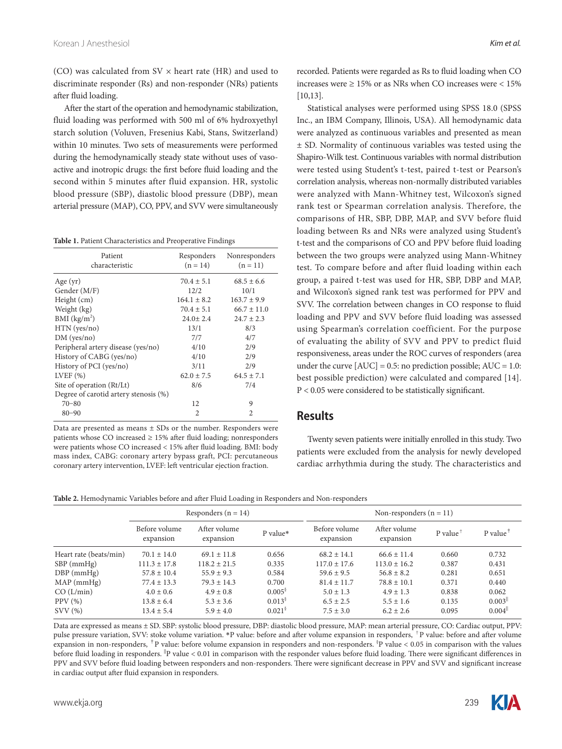(CO) was calculated from  $SV \times$  heart rate (HR) and used to discriminate responder (Rs) and non-responder (NRs) patients after fluid loading.

After the start of the operation and hemodynamic stabilization, fluid loading was performed with 500 ml of 6% hydroxyethyl starch solution (Voluven, Fresenius Kabi, Stans, Switzerland) within 10 minutes. Two sets of measurements were performed during the hemodynamically steady state without uses of vasoactive and inotropic drugs: the first before fluid loading and the second within 5 minutes after fluid expansion. HR, systolic blood pressure (SBP), diastolic blood pressure (DBP), mean arterial pressure (MAP), CO, PPV, and SVV were simultaneously

**Table 1.** Patient Characteristics and Preoperative Findings

| Patient<br>characteristic             | Responders<br>$(n = 14)$ | Nonresponders<br>$(n = 11)$ |
|---------------------------------------|--------------------------|-----------------------------|
| Age $(yr)$                            | $70.4 \pm 5.1$           | $68.5 \pm 6.6$              |
| Gender (M/F)                          | 12/2                     | 10/1                        |
| Height (cm)                           | $164.1 \pm 8.2$          | $163.7 \pm 9.9$             |
| Weight (kg)                           | $70.4 \pm 5.1$           | $66.7 \pm 11.0$             |
| BMI $(kg/m2)$                         | $24.0 + 2.4$             | $24.7 \pm 2.3$              |
| HTN (yes/no)                          | 13/1                     | 8/3                         |
| DM (yes/no)                           | 7/7                      | 4/7                         |
| Peripheral artery disease (yes/no)    | 4/10                     | 2/9                         |
| History of CABG (yes/no)              | 4/10                     | 2/9                         |
| History of PCI (yes/no)               | 3/11                     | 2/9                         |
| LVEF $(\%)$                           | $62.0 \pm 7.5$           | $64.5 \pm 7.1$              |
| Site of operation (Rt/Lt)             | 8/6                      | 7/4                         |
| Degree of carotid artery stenosis (%) |                          |                             |
| $70 - 80$                             | 12                       | 9                           |
| $80 - 90$                             | $\mathfrak{D}$           | $\mathfrak{D}$              |

Data are presented as means ± SDs or the number. Responders were patients whose CO increased  $\geq$  15% after fluid loading; nonresponders were patients whose CO increased < 15% after fluid loading. BMI: body mass index, CABG: coronary artery bypass graft, PCI: percutaneous coronary artery intervention, LVEF: left ventricular ejection fraction.

recorded. Patients were regarded as Rs to fluid loading when CO increases were  $> 15\%$  or as NRs when CO increases were  $< 15\%$ [10,13].

Statistical analyses were performed using SPSS 18.0 (SPSS Inc., an IBM Company, Illinois, USA). All hemodynamic data were analyzed as continuous variables and presented as mean ± SD. Normality of continuous variables was tested using the Shapiro-Wilk test. Continuous variables with normal distribution were tested using Student's t-test, paired t-test or Pearson's correlation analysis, whereas non-normally distributed variables were analyzed with Mann-Whitney test, Wilcoxon's signed rank test or Spearman correlation analysis. Therefore, the comparisons of HR, SBP, DBP, MAP, and SVV before fluid loading between Rs and NRs were analyzed using Student's t-test and the comparisons of CO and PPV before fluid loading between the two groups were analyzed using Mann-Whitney test. To compare before and after fluid loading within each group, a paired t-test was used for HR, SBP, DBP and MAP, and Wilcoxon's signed rank test was performed for PPV and SVV. The correlation between changes in CO response to fluid loading and PPV and SVV before fluid loading was assessed using Spearman's correlation coefficient. For the purpose of evaluating the ability of SVV and PPV to predict fluid responsiveness, areas under the ROC curves of responders (area under the curve  $[AUC] = 0.5$ : no prediction possible;  $AUC = 1.0$ : best possible prediction) were calculated and compared [14]. P < 0.05 were considered to be statistically significant.

#### **Results**

Twenty seven patients were initially enrolled in this study. Two patients were excluded from the analysis for newly developed cardiac arrhythmia during the study. The characteristics and

| Table 2. Hemodynamic Variables before and after Fluid Loading in Responders and Non-responders |  |
|------------------------------------------------------------------------------------------------|--|
|------------------------------------------------------------------------------------------------|--|

|                        | Responders $(n = 14)$      |                           |                       | Non-responders $(n = 11)$  |                           |         |                                         |
|------------------------|----------------------------|---------------------------|-----------------------|----------------------------|---------------------------|---------|-----------------------------------------|
|                        | Before volume<br>expansion | After volume<br>expansion | P value*              | Before volume<br>expansion | After volume<br>expansion | P value | P value <sup><math>\dagger</math></sup> |
| Heart rate (beats/min) | $70.1 \pm 14.0$            | $69.1 \pm 11.8$           | 0.656                 | $68.2 \pm 14.1$            | $66.6 \pm 11.4$           | 0.660   | 0.732                                   |
| $SBP$ (mmHg)           | $111.3 \pm 17.8$           | $118.2 \pm 21.5$          | 0.335                 | $117.0 \pm 17.6$           | $113.0 \pm 16.2$          | 0.387   | 0.431                                   |
| $DBP$ (mmHg)           | $57.8 \pm 10.4$            | $55.9 \pm 9.3$            | 0.584                 | $59.6 \pm 9.5$             | $56.8 \pm 8.2$            | 0.281   | 0.651                                   |
| MAP(mmHg)              | $77.4 \pm 13.3$            | $79.3 \pm 14.3$           | 0.700                 | $81.4 \pm 11.7$            | $78.8 \pm 10.1$           | 0.371   | 0.440                                   |
| CO (L/min)             | $4.0 \pm 0.6$              | $4.9 \pm 0.8$             | $0.005^{\circ}$       | $5.0 \pm 1.3$              | $4.9 \pm 1.3$             | 0.838   | 0.062                                   |
| PPV(%)                 | $13.8 \pm 6.4$             | $5.3 \pm 3.6$             | 0.013 <sup>8</sup>    | $6.5 \pm 2.5$              | $5.5 \pm 1.6$             | 0.135   | $0.003$ <sup>  </sup>                   |
| SVV(%)                 | $13.4 \pm 5.4$             | $5.9 \pm 4.0$             | $0.021^{\frac{8}{3}}$ | $7.5 \pm 3.0$              | $6.2 \pm 2.6$             | 0.095   | $0.004$ <sup>  </sup>                   |

Data are expressed as means ± SD. SBP: systolic blood pressure, DBP: diastolic blood pressure, MAP: mean arterial pressure, CO: Cardiac output, PPV: pulse pressure variation, SVV: stoke volume variation. \*P value: before and after volume expansion in responders, †P value: before and after volume expansion in non-responders, <sup>†</sup>P value: before volume expansion in responders and non-responders. <sup>§</sup>P value < 0.05 in comparison with the values before fluid loading in responders. <sup>"</sup>P value < 0.01 in comparison with the responder values before fluid loading. There were significant differences in PPV and SVV before fluid loading between responders and non-responders. There were significant decrease in PPV and SVV and significant increase in cardiac output after fluid expansion in responders.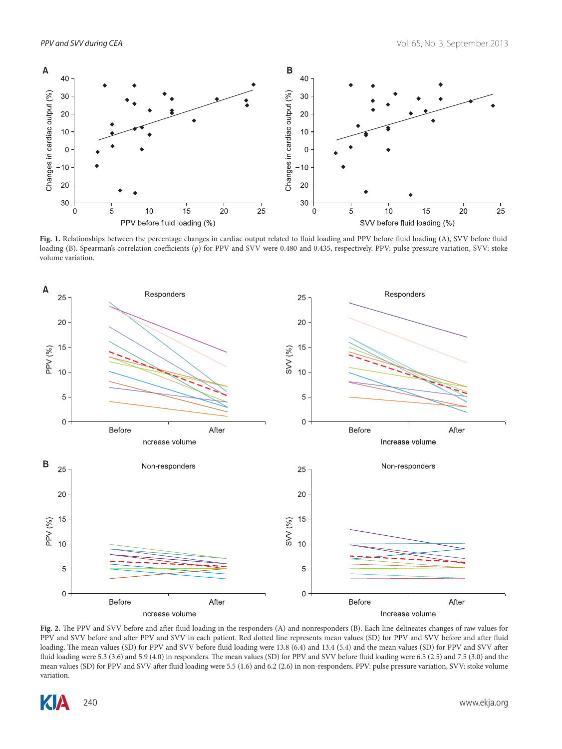

Fig. 1. Relationships between the percentage changes in cardiac output related to fluid loading and PPV before fluid loading (A), SVV before fluid loading (B). Spearman's correlation coefficients (ρ) for PPV and SVV were 0.480 and 0.435, respectively. PPV: pulse pressure variation, SVV: stoke volume variation.



**Fig. 2.** The PPV and SVV before and after fluid loading in the responders (A) and nonresponders (B). Each line delineates changes of raw values for PPV and SVV before and after PPV and SVV in each patient. Red dotted line represents mean values (SD) for PPV and SVV before and after fluid loading. The mean values (SD) for PPV and SVV before fluid loading were 13.8 (6.4) and 13.4 (5.4) and the mean values (SD) for PPV and SVV after fluid loading were 5.3 (3.6) and 5.9 (4.0) in responders. The mean values (SD) for PPV and SVV before fluid loading were 6.5 (2.5) and 7.5 (3.0) and the mean values (SD) for PPV and SVV after fluid loading were 5.5 (1.6) and 6.2 (2.6) in non-responders. PPV: pulse pressure variation, SVV: stoke volume variation.

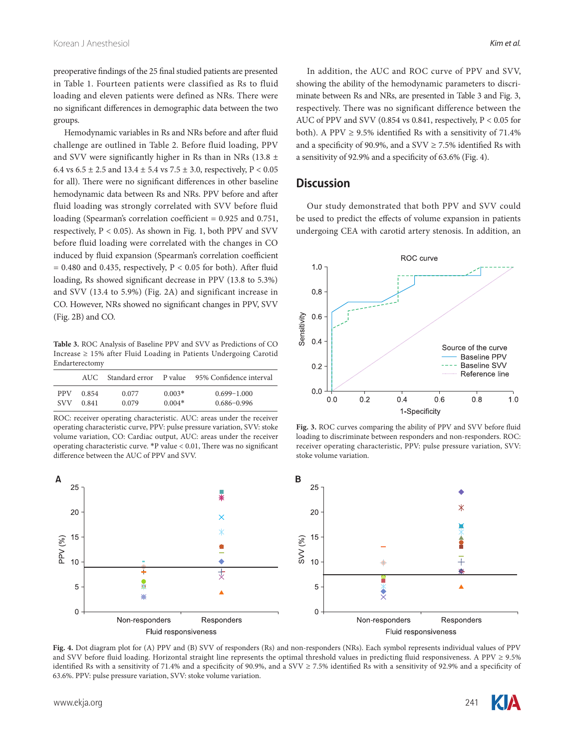preoperative findings of the 25 final studied patients are presented in Table 1. Fourteen patients were classified as Rs to fluid loading and eleven patients were defined as NRs. There were no significant differences in demographic data between the two groups.

Hemodynamic variables in Rs and NRs before and after fluid challenge are outlined in Table 2. Before fluid loading, PPV and SVV were significantly higher in Rs than in NRs (13.8  $\pm$ 6.4 vs  $6.5 \pm 2.5$  and  $13.4 \pm 5.4$  vs  $7.5 \pm 3.0$ , respectively,  $P < 0.05$ for all). There were no significant differences in other baseline hemodynamic data between Rs and NRs. PPV before and after fluid loading was strongly correlated with SVV before fluid loading (Spearman's correlation coefficient = 0.925 and 0.751, respectively,  $P < 0.05$ ). As shown in Fig. 1, both PPV and SVV before fluid loading were correlated with the changes in CO induced by fluid expansion (Spearman's correlation coefficient  $= 0.480$  and 0.435, respectively, P < 0.05 for both). After fluid loading, Rs showed significant decrease in PPV (13.8 to 5.3%) and SVV (13.4 to 5.9%) (Fig. 2A) and significant increase in CO. However, NRs showed no significant changes in PPV, SVV (Fig. 2B) and CO.

**Table 3.** ROC Analysis of Baseline PPV and SVV as Predictions of CO Increase ≥ 15% after Fluid Loading in Patients Undergoing Carotid Endarterectomy

|            | AUC.  |       |          | Standard error P value 95% Confidence interval |
|------------|-------|-------|----------|------------------------------------------------|
| <b>PPV</b> | 0.854 | 0.077 | $0.003*$ | $0.699 - 1.000$                                |
| <b>SVV</b> | 0.841 | 0.079 | $0.004*$ | $0.686 - 0.996$                                |

ROC: receiver operating characteristic. AUC: areas under the receiver operating characteristic curve, PPV: pulse pressure variation, SVV: stoke volume variation, CO: Cardiac output, AUC: areas under the receiver operating characteristic curve. \*P value < 0.01, There was no significant difference between the AUC of PPV and SVV.

In addition, the AUC and ROC curve of PPV and SVV, showing the ability of the hemodynamic parameters to discriminate between Rs and NRs, are presented in Table 3 and Fig. 3, respectively. There was no significant difference between the AUC of PPV and SVV (0.854 vs 0.841, respectively, P < 0.05 for both). A PPV  $\geq$  9.5% identified Rs with a sensitivity of 71.4% and a specificity of 90.9%, and a SVV  $\geq$  7.5% identified Rs with a sensitivity of 92.9% and a specificity of 63.6% (Fig. 4).

#### **Discussion**

Our study demonstrated that both PPV and SVV could be used to predict the effects of volume expansion in patients undergoing CEA with carotid artery stenosis. In addition, an



**Fig. 3.** ROC curves comparing the ability of PPV and SVV before fluid loading to discriminate between responders and non-responders. ROC: receiver operating characteristic, PPV: pulse pressure variation, SVV: stoke volume variation.



Fig. 4. Dot diagram plot for (A) PPV and (B) SVV of responders (Rs) and non-responders (NRs). Each symbol represents individual values of PPV and SVV before fluid loading. Horizontal straight line represents the optimal threshold values in predicting fluid responsiveness. A PPV ≥ 9.5% identified Rs with a sensitivity of 71.4% and a specificity of 90.9%, and a SVV ≥ 7.5% identified Rs with a sensitivity of 92.9% and a specificity of 63.6%. PPV: pulse pressure variation, SVV: stoke volume variation.

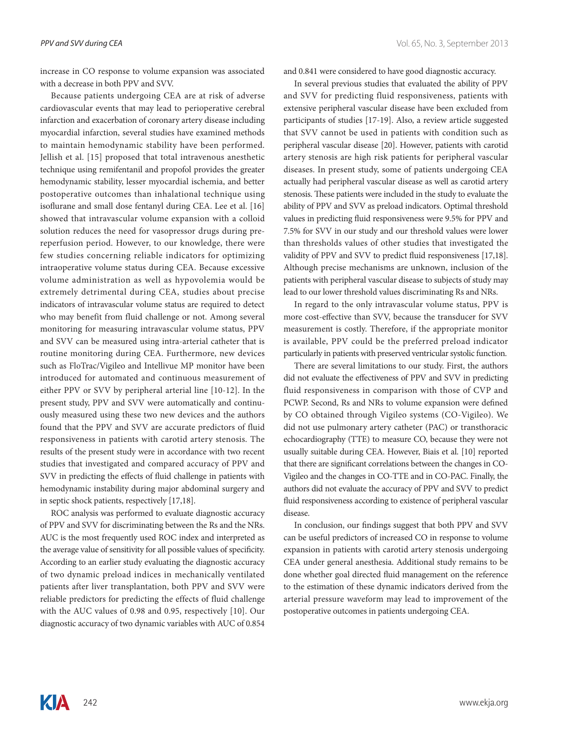increase in CO response to volume expansion was associated with a decrease in both PPV and SVV.

Because patients undergoing CEA are at risk of adverse cardiovascular events that may lead to perioperative cerebral infarction and exacerbation of coronary artery disease including myocardial infarction, several studies have examined methods to maintain hemodynamic stability have been performed. Jellish et al. [15] proposed that total intravenous anesthetic technique using remifentanil and propofol provides the greater hemodynamic stability, lesser myocardial ischemia, and better postoperative outcomes than inhalational technique using isoflurane and small dose fentanyl during CEA. Lee et al. [16] showed that intravascular volume expansion with a colloid solution reduces the need for vasopressor drugs during prereperfusion period. However, to our knowledge, there were few studies concerning reliable indicators for optimizing intraoperative volume status during CEA. Because excessive volume administration as well as hypovolemia would be extremely detrimental during CEA, studies about precise indicators of intravascular volume status are required to detect who may benefit from fluid challenge or not. Among several monitoring for measuring intravascular volume status, PPV and SVV can be measured using intra-arterial catheter that is routine monitoring during CEA. Furthermore, new devices such as FloTrac/Vigileo and Intellivue MP monitor have been introduced for automated and continuous measurement of either PPV or SVV by peripheral arterial line [10-12]. In the present study, PPV and SVV were automatically and continuously measured using these two new devices and the authors found that the PPV and SVV are accurate predictors of fluid responsiveness in patients with carotid artery stenosis. The results of the present study were in accordance with two recent studies that investigated and compared accuracy of PPV and SVV in predicting the effects of fluid challenge in patients with hemodynamic instability during major abdominal surgery and in septic shock patients, respectively [17,18].

ROC analysis was performed to evaluate diagnostic accuracy of PPV and SVV for discriminating between the Rs and the NRs. AUC is the most frequently used ROC index and interpreted as the average value of sensitivity for all possible values of specificity. According to an earlier study evaluating the diagnostic accuracy of two dynamic preload indices in mechanically ventilated patients after liver transplantation, both PPV and SVV were reliable predictors for predicting the effects of fluid challenge with the AUC values of 0.98 and 0.95, respectively [10]. Our diagnostic accuracy of two dynamic variables with AUC of 0.854

and 0.841 were considered to have good diagnostic accuracy.

In several previous studies that evaluated the ability of PPV and SVV for predicting fluid responsiveness, patients with extensive peripheral vascular disease have been excluded from participants of studies [17-19]. Also, a review article suggested that SVV cannot be used in patients with condition such as peripheral vascular disease [20]. However, patients with carotid artery stenosis are high risk patients for peripheral vascular diseases. In present study, some of patients undergoing CEA actually had peripheral vascular disease as well as carotid artery stenosis. These patients were included in the study to evaluate the ability of PPV and SVV as preload indicators. Optimal threshold values in predicting fluid responsiveness were 9.5% for PPV and 7.5% for SVV in our study and our threshold values were lower than thresholds values of other studies that investigated the validity of PPV and SVV to predict fluid responsiveness [17,18]. Although precise mechanisms are unknown, inclusion of the patients with peripheral vascular disease to subjects of study may lead to our lower threshold values discriminating Rs and NRs.

In regard to the only intravascular volume status, PPV is more cost-effective than SVV, because the transducer for SVV measurement is costly. Therefore, if the appropriate monitor is available, PPV could be the preferred preload indicator particularly in patients with preserved ventricular systolic function.

There are several limitations to our study. First, the authors did not evaluate the effectiveness of PPV and SVV in predicting fluid responsiveness in comparison with those of CVP and PCWP. Second, Rs and NRs to volume expansion were defined by CO obtained through Vigileo systems (CO-Vigileo). We did not use pulmonary artery catheter (PAC) or transthoracic echocardiography (TTE) to measure CO, because they were not usually suitable during CEA. However, Biais et al. [10] reported that there are significant correlations between the changes in CO-Vigileo and the changes in CO-TTE and in CO-PAC. Finally, the authors did not evaluate the accuracy of PPV and SVV to predict fluid responsiveness according to existence of peripheral vascular disease.

In conclusion, our findings suggest that both PPV and SVV can be useful predictors of increased CO in response to volume expansion in patients with carotid artery stenosis undergoing CEA under general anesthesia. Additional study remains to be done whether goal directed fluid management on the reference to the estimation of these dynamic indicators derived from the arterial pressure waveform may lead to improvement of the postoperative outcomes in patients undergoing CEA.

**ZIA**